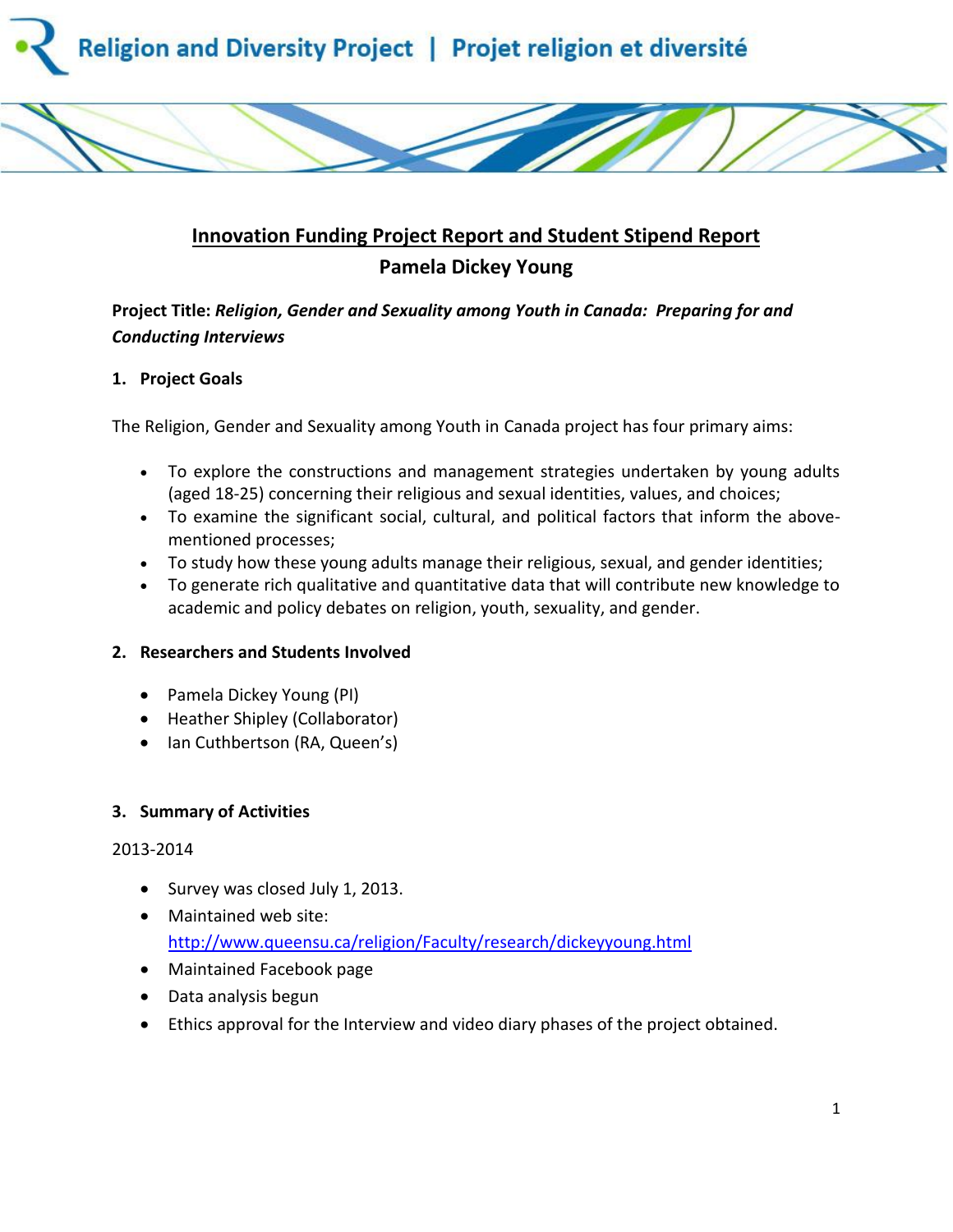



# **Innovation Funding Project Report and Student Stipend Report Pamela Dickey Young**

# **Project Title:** *Religion, Gender and Sexuality among Youth in Canada: Preparing for and Conducting Interviews*

## **1. Project Goals**

The Religion, Gender and Sexuality among Youth in Canada project has four primary aims:

- To explore the constructions and management strategies undertaken by young adults (aged 18-25) concerning their religious and sexual identities, values, and choices;
- To examine the significant social, cultural, and political factors that inform the abovementioned processes;
- To study how these young adults manage their religious, sexual, and gender identities;
- To generate rich qualitative and quantitative data that will contribute new knowledge to academic and policy debates on religion, youth, sexuality, and gender.

## **2. Researchers and Students Involved**

- Pamela Dickey Young (PI)
- Heather Shipley (Collaborator)
- Ian Cuthbertson (RA, Queen's)

## **3. Summary of Activities**

## 2013-2014

- Survey was closed July 1, 2013.
- Maintained web site: <http://www.queensu.ca/religion/Faculty/research/dickeyyoung.html>
- Maintained Facebook page
- Data analysis begun
- Ethics approval for the Interview and video diary phases of the project obtained.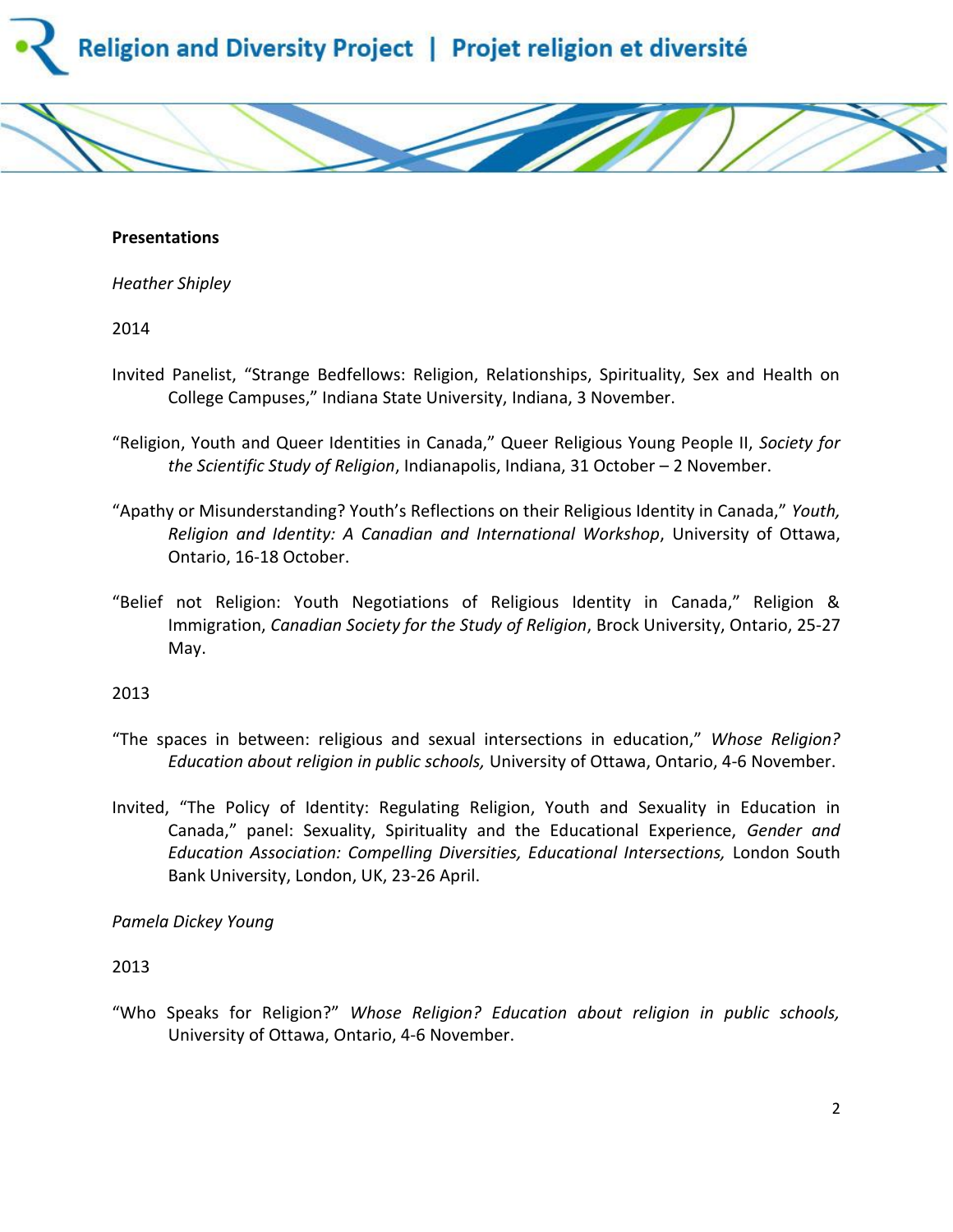



*Heather Shipley*

2014

- Invited Panelist, "Strange Bedfellows: Religion, Relationships, Spirituality, Sex and Health on College Campuses," Indiana State University, Indiana, 3 November.
- "Religion, Youth and Queer Identities in Canada," Queer Religious Young People II, *Society for the Scientific Study of Religion*, Indianapolis, Indiana, 31 October – 2 November.
- "Apathy or Misunderstanding? Youth's Reflections on their Religious Identity in Canada," *Youth, Religion and Identity: A Canadian and International Workshop*, University of Ottawa, Ontario, 16-18 October.
- "Belief not Religion: Youth Negotiations of Religious Identity in Canada," Religion & Immigration, *Canadian Society for the Study of Religion*, Brock University, Ontario, 25-27 May.

2013

- "The spaces in between: religious and sexual intersections in education," *Whose Religion? Education about religion in public schools,* University of Ottawa, Ontario, 4-6 November.
- Invited, "The Policy of Identity: Regulating Religion, Youth and Sexuality in Education in Canada," panel: Sexuality, Spirituality and the Educational Experience, *Gender and Education Association: Compelling Diversities, Educational Intersections,* London South Bank University, London, UK, 23-26 April.

*Pamela Dickey Young*

2013

"Who Speaks for Religion?" *Whose Religion? Education about religion in public schools,*  University of Ottawa, Ontario, 4-6 November.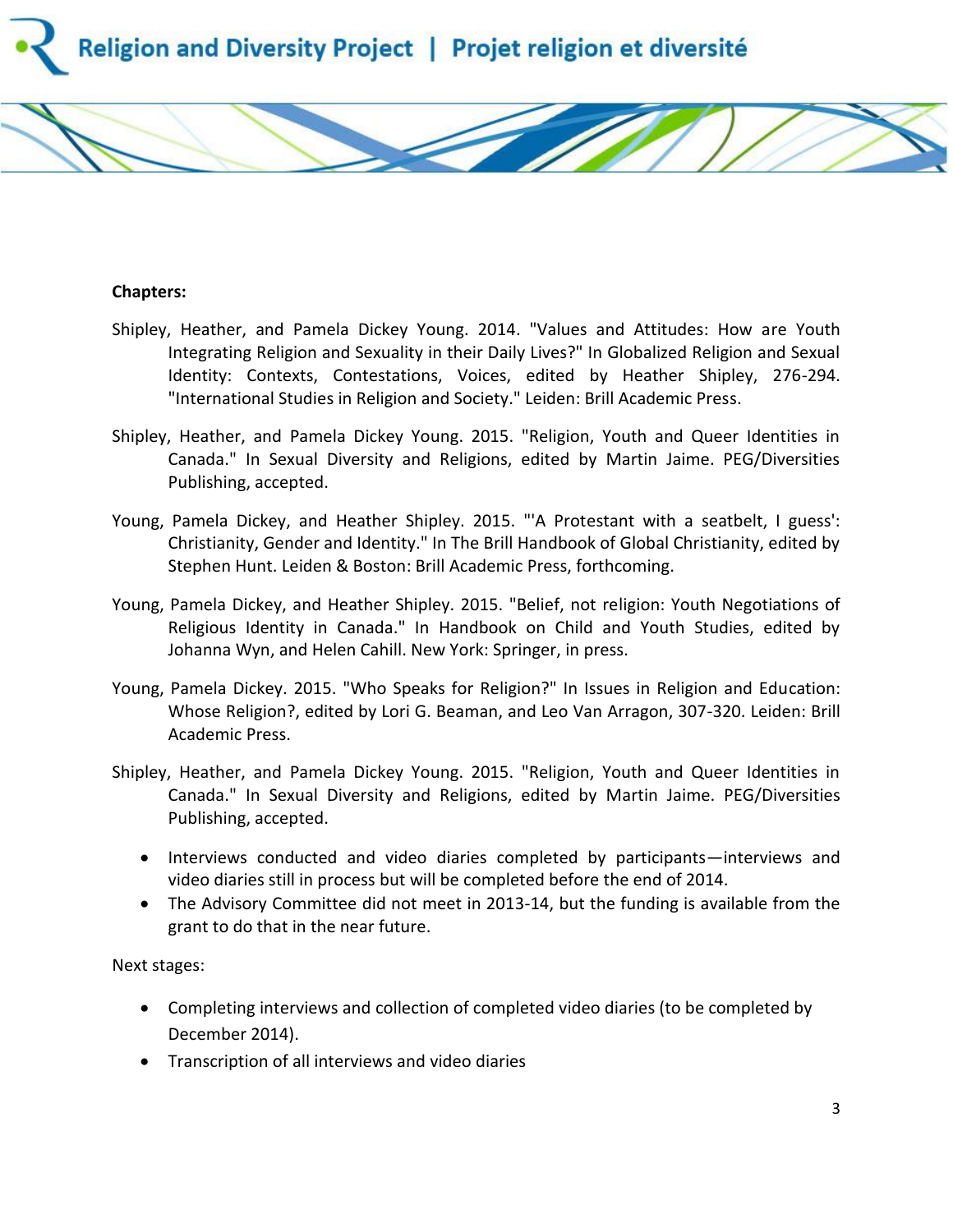

#### **Chapters:**

- Shipley, Heather, and Pamela Dickey Young. 2014. "Values and Attitudes: How are Youth Integrating Religion and Sexuality in their Daily Lives?" In Globalized Religion and Sexual Identity: Contexts, Contestations, Voices, edited by Heather Shipley, 276-294. "International Studies in Religion and Society." Leiden: Brill Academic Press.
- Shipley, Heather, and Pamela Dickey Young. 2015. "Religion, Youth and Queer Identities in Canada." In Sexual Diversity and Religions, edited by Martin Jaime. PEG/Diversities Publishing, accepted.
- Young, Pamela Dickey, and Heather Shipley. 2015. "'A Protestant with a seatbelt, I guess': Christianity, Gender and Identity." In The Brill Handbook of Global Christianity, edited by Stephen Hunt. Leiden & Boston: Brill Academic Press, forthcoming.
- Young, Pamela Dickey, and Heather Shipley. 2015. "Belief, not religion: Youth Negotiations of Religious Identity in Canada." In Handbook on Child and Youth Studies, edited by Johanna Wyn, and Helen Cahill. New York: Springer, in press.
- Young, Pamela Dickey. 2015. "Who Speaks for Religion?" In Issues in Religion and Education: Whose Religion?, edited by Lori G. Beaman, and Leo Van Arragon, 307-320. Leiden: Brill Academic Press.
- Shipley, Heather, and Pamela Dickey Young. 2015. "Religion, Youth and Queer Identities in Canada." In Sexual Diversity and Religions, edited by Martin Jaime. PEG/Diversities Publishing, accepted.
	- Interviews conducted and video diaries completed by participants—interviews and video diaries still in process but will be completed before the end of 2014.
	- The Advisory Committee did not meet in 2013-14, but the funding is available from the grant to do that in the near future.

Next stages:

- Completing interviews and collection of completed video diaries (to be completed by December 2014).
- Transcription of all interviews and video diaries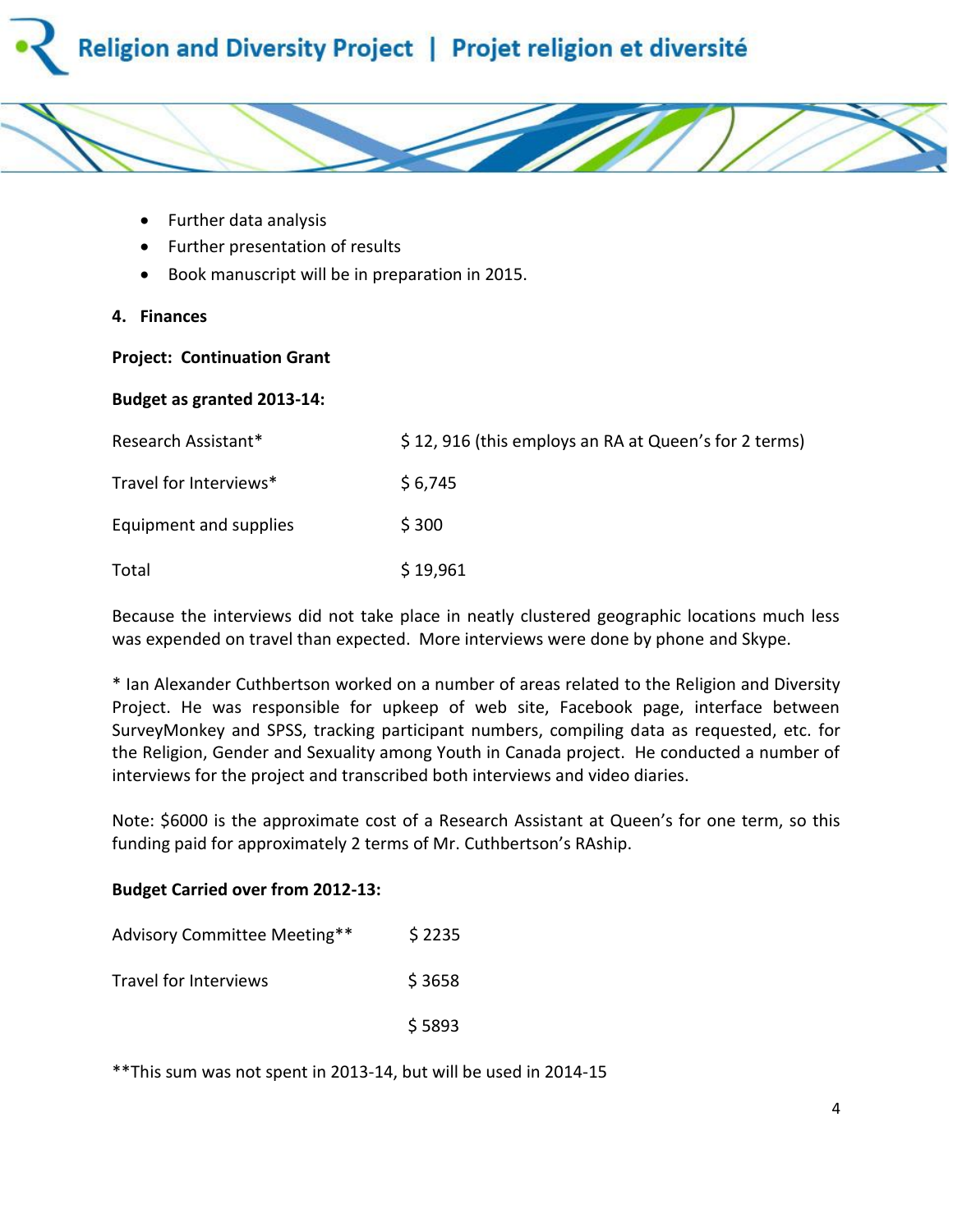



- Further data analysis
- Further presentation of results
- Book manuscript will be in preparation in 2015.
- **4. Finances**

#### **Project: Continuation Grant**

## **Budget as granted 2013-14:**

| Research Assistant*    | \$12,916 (this employs an RA at Queen's for 2 terms) |
|------------------------|------------------------------------------------------|
| Travel for Interviews* | \$6,745                                              |
| Equipment and supplies | \$300                                                |
| Total                  | \$19,961                                             |

Because the interviews did not take place in neatly clustered geographic locations much less was expended on travel than expected. More interviews were done by phone and Skype.

\* Ian Alexander Cuthbertson worked on a number of areas related to the Religion and Diversity Project. He was responsible for upkeep of web site, Facebook page, interface between SurveyMonkey and SPSS, tracking participant numbers, compiling data as requested, etc. for the Religion, Gender and Sexuality among Youth in Canada project. He conducted a number of interviews for the project and transcribed both interviews and video diaries.

Note: \$6000 is the approximate cost of a Research Assistant at Queen's for one term, so this funding paid for approximately 2 terms of Mr. Cuthbertson's RAship.

#### **Budget Carried over from 2012-13:**

| Advisory Committee Meeting** | \$2235 |
|------------------------------|--------|
| Travel for Interviews        | \$3658 |
|                              | \$5893 |

\*\*This sum was not spent in 2013-14, but will be used in 2014-15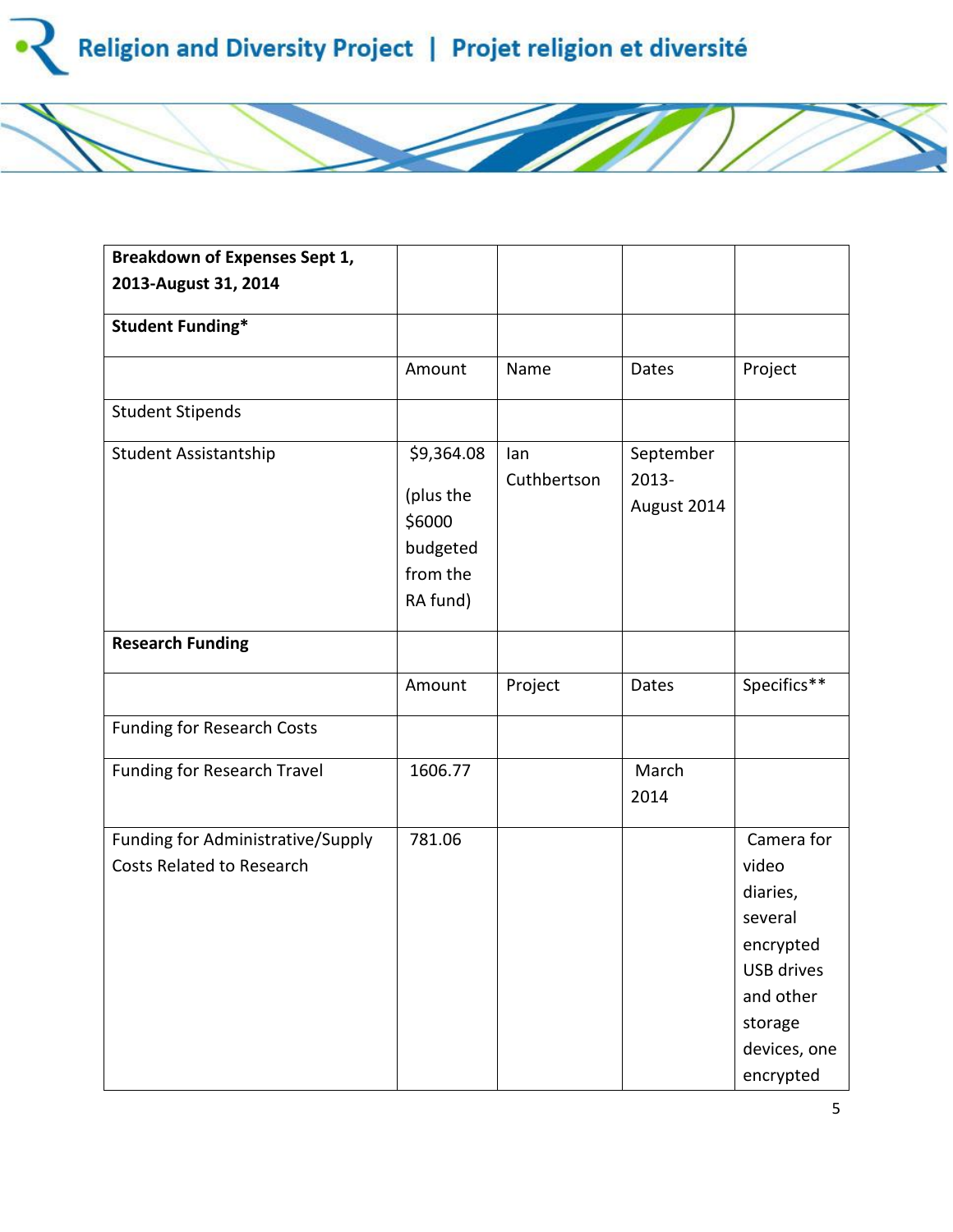

| <b>Breakdown of Expenses Sept 1,</b>                                  |                                                                       |                    |                                   |                                                                                                                                   |
|-----------------------------------------------------------------------|-----------------------------------------------------------------------|--------------------|-----------------------------------|-----------------------------------------------------------------------------------------------------------------------------------|
| 2013-August 31, 2014                                                  |                                                                       |                    |                                   |                                                                                                                                   |
| <b>Student Funding*</b>                                               |                                                                       |                    |                                   |                                                                                                                                   |
|                                                                       | Amount                                                                | Name               | Dates                             | Project                                                                                                                           |
| <b>Student Stipends</b>                                               |                                                                       |                    |                                   |                                                                                                                                   |
| Student Assistantship                                                 | \$9,364.08<br>(plus the<br>\$6000<br>budgeted<br>from the<br>RA fund) | lan<br>Cuthbertson | September<br>2013-<br>August 2014 |                                                                                                                                   |
| <b>Research Funding</b>                                               |                                                                       |                    |                                   |                                                                                                                                   |
|                                                                       | Amount                                                                | Project            | <b>Dates</b>                      | Specifics**                                                                                                                       |
| <b>Funding for Research Costs</b>                                     |                                                                       |                    |                                   |                                                                                                                                   |
| Funding for Research Travel                                           | 1606.77                                                               |                    | March<br>2014                     |                                                                                                                                   |
| Funding for Administrative/Supply<br><b>Costs Related to Research</b> | 781.06                                                                |                    |                                   | Camera for<br>video<br>diaries,<br>several<br>encrypted<br><b>USB drives</b><br>and other<br>storage<br>devices, one<br>encrypted |